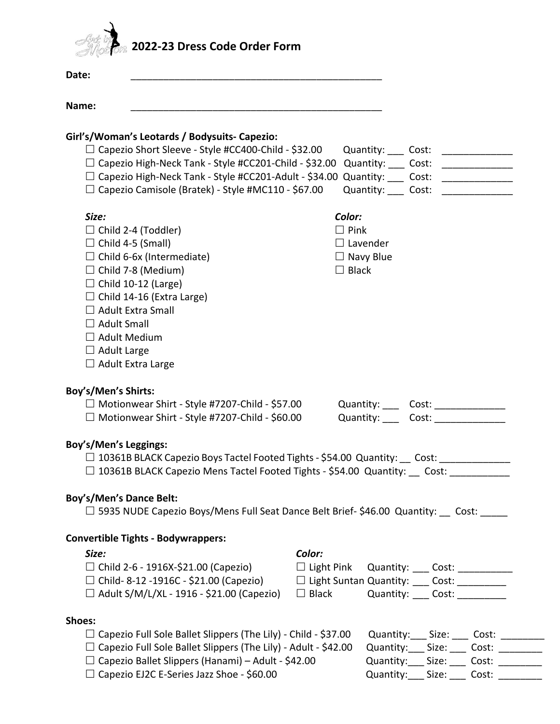

| Date:                                                                                                                                                          |                                                                                                                                                                                                                                            |  |  |  |  |
|----------------------------------------------------------------------------------------------------------------------------------------------------------------|--------------------------------------------------------------------------------------------------------------------------------------------------------------------------------------------------------------------------------------------|--|--|--|--|
| Name:                                                                                                                                                          |                                                                                                                                                                                                                                            |  |  |  |  |
| Girl's/Woman's Leotards / Bodysuits- Capezio:                                                                                                                  |                                                                                                                                                                                                                                            |  |  |  |  |
| □ Capezio Short Sleeve - Style #CC400-Child - \$32.00                                                                                                          | Quantity: ____ Cost: _____________                                                                                                                                                                                                         |  |  |  |  |
| $\Box$ Capezio High-Neck Tank - Style #CC201-Child - \$32.00<br>Quantity: ____ Cost: _______________                                                           |                                                                                                                                                                                                                                            |  |  |  |  |
|                                                                                                                                                                | □ Capezio High-Neck Tank - Style #CC201-Adult - \$34.00 Quantity: ____ Cost: ________________                                                                                                                                              |  |  |  |  |
| $\Box$ Capezio Camisole (Bratek) - Style #MC110 - \$67.00                                                                                                      | Quantity: ____ Cost:<br><u> 1980 - Jan Samuel III, martin d</u>                                                                                                                                                                            |  |  |  |  |
| Size:                                                                                                                                                          | Color:                                                                                                                                                                                                                                     |  |  |  |  |
| $\Box$ Child 2-4 (Toddler)                                                                                                                                     | $\Box$ Pink                                                                                                                                                                                                                                |  |  |  |  |
| $\Box$ Child 4-5 (Small)                                                                                                                                       | $\Box$ Lavender                                                                                                                                                                                                                            |  |  |  |  |
| $\Box$ Child 6-6x (Intermediate)                                                                                                                               | $\Box$ Navy Blue                                                                                                                                                                                                                           |  |  |  |  |
| $\Box$ Child 7-8 (Medium)                                                                                                                                      | $\Box$ Black                                                                                                                                                                                                                               |  |  |  |  |
| $\Box$ Child 10-12 (Large)                                                                                                                                     |                                                                                                                                                                                                                                            |  |  |  |  |
| $\Box$ Child 14-16 (Extra Large)                                                                                                                               |                                                                                                                                                                                                                                            |  |  |  |  |
| $\Box$ Adult Extra Small                                                                                                                                       |                                                                                                                                                                                                                                            |  |  |  |  |
| $\Box$ Adult Small                                                                                                                                             |                                                                                                                                                                                                                                            |  |  |  |  |
| $\Box$ Adult Medium                                                                                                                                            |                                                                                                                                                                                                                                            |  |  |  |  |
| $\Box$ Adult Large                                                                                                                                             |                                                                                                                                                                                                                                            |  |  |  |  |
| $\Box$ Adult Extra Large                                                                                                                                       |                                                                                                                                                                                                                                            |  |  |  |  |
| Boy's/Men's Shirts:<br>$\Box$ Motionwear Shirt - Style #7207-Child - \$57.00<br>$\Box$ Motionwear Shirt - Style #7207-Child - \$60.00<br>Boy's/Men's Leggings: | Quantity: ____ Cost: _____________<br>Quantity: Cost: Cost:<br>□ 10361B BLACK Capezio Boys Tactel Footed Tights - \$54.00 Quantity: __ Cost: __________<br>$\Box$ 10361B BLACK Capezio Mens Tactel Footed Tights - \$54.00 Quantity: Cost: |  |  |  |  |
|                                                                                                                                                                |                                                                                                                                                                                                                                            |  |  |  |  |
| <b>Boy's/Men's Dance Belt:</b>                                                                                                                                 | □ 5935 NUDE Capezio Boys/Mens Full Seat Dance Belt Brief-\$46.00 Quantity: __ Cost: _____                                                                                                                                                  |  |  |  |  |
|                                                                                                                                                                |                                                                                                                                                                                                                                            |  |  |  |  |
| <b>Convertible Tights - Bodywrappers:</b>                                                                                                                      |                                                                                                                                                                                                                                            |  |  |  |  |
| Size:                                                                                                                                                          | Color:                                                                                                                                                                                                                                     |  |  |  |  |
| $\Box$ Child 2-6 - 1916X-\$21.00 (Capezio)                                                                                                                     | □ Light Pink Quantity: ____ Cost: __________                                                                                                                                                                                               |  |  |  |  |
| $\Box$ Child- 8-12 -1916C - \$21.00 (Capezio)                                                                                                                  | □ Light Suntan Quantity: ___ Cost: _________                                                                                                                                                                                               |  |  |  |  |
| $\Box$ Adult S/M/L/XL - 1916 - \$21.00 (Capezio)                                                                                                               | $\Box$ Black<br>Quantity: ____ Cost: __________                                                                                                                                                                                            |  |  |  |  |
| Shoes:                                                                                                                                                         |                                                                                                                                                                                                                                            |  |  |  |  |
| $\Box$ Capezio Full Sole Ballet Slippers (The Lily) - Child - \$37.00                                                                                          | Quantity:____ Size: _____ Cost: _________                                                                                                                                                                                                  |  |  |  |  |
| $\Box$ Capezio Full Sole Ballet Slippers (The Lily) - Adult - \$42.00                                                                                          | Quantity: Size: Cost:                                                                                                                                                                                                                      |  |  |  |  |
| $\Box$ Capezio Ballet Slippers (Hanami) – Adult - \$42.00                                                                                                      | Quantity:____ Size: _____ Cost: _________                                                                                                                                                                                                  |  |  |  |  |
| □ Capezio EJ2C E-Series Jazz Shoe - \$60.00                                                                                                                    | Quantity:____ Size: _____ Cost: ________                                                                                                                                                                                                   |  |  |  |  |